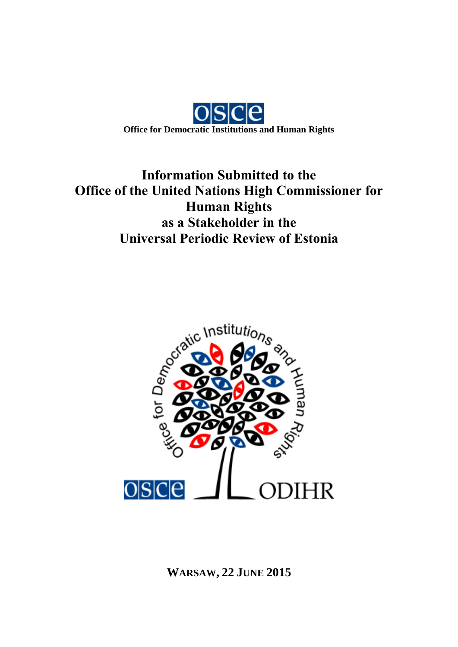

# **Information Submitted to the Office of the United Nations High Commissioner for Human Rights as a Stakeholder in the Universal Periodic Review of Estonia**



**WARSAW, 22 JUNE 2015**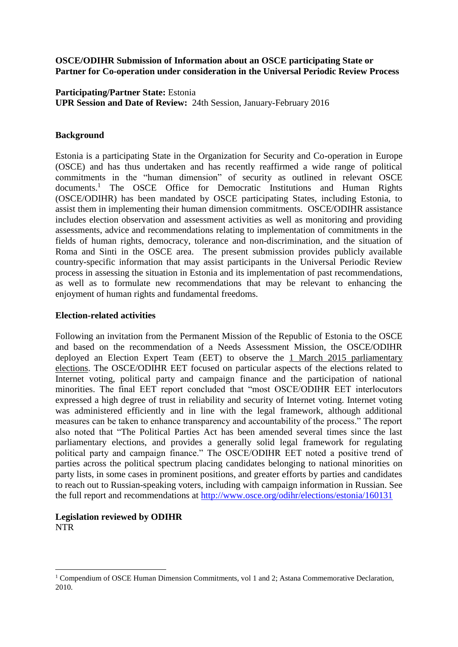#### **OSCE/ODIHR Submission of Information about an OSCE participating State or Partner for Co-operation under consideration in the Universal Periodic Review Process**

**Participating/Partner State:** Estonia **UPR Session and Date of Review:** 24th Session, January-February 2016

## **Background**

Estonia is a participating State in the Organization for Security and Co-operation in Europe (OSCE) and has thus undertaken and has recently reaffirmed a wide range of political commitments in the "human dimension" of security as outlined in relevant OSCE documents.<sup>1</sup> The OSCE Office for Democratic Institutions and Human Rights (OSCE/ODIHR) has been mandated by OSCE participating States, including Estonia, to assist them in implementing their human dimension commitments. OSCE/ODIHR assistance includes election observation and assessment activities as well as monitoring and providing assessments, advice and recommendations relating to implementation of commitments in the fields of human rights, democracy, tolerance and non-discrimination, and the situation of Roma and Sinti in the OSCE area. The present submission provides publicly available country-specific information that may assist participants in the Universal Periodic Review process in assessing the situation in Estonia and its implementation of past recommendations, as well as to formulate new recommendations that may be relevant to enhancing the enjoyment of human rights and fundamental freedoms.

#### **Election-related activities**

Following an invitation from the Permanent Mission of the Republic of Estonia to the OSCE and based on the recommendation of a Needs Assessment Mission, the OSCE/ODIHR deployed an Election Expert Team (EET) to observe the 1 March 2015 parliamentary elections. The OSCE/ODIHR EET focused on particular aspects of the elections related to Internet voting, political party and campaign finance and the participation of national minorities. The final EET report concluded that "most OSCE/ODIHR EET interlocutors expressed a high degree of trust in reliability and security of Internet voting. Internet voting was administered efficiently and in line with the legal framework, although additional measures can be taken to enhance transparency and accountability of the process." The report also noted that "The Political Parties Act has been amended several times since the last parliamentary elections, and provides a generally solid legal framework for regulating political party and campaign finance." The OSCE/ODIHR EET noted a positive trend of parties across the political spectrum placing candidates belonging to national minorities on party lists, in some cases in prominent positions, and greater efforts by parties and candidates to reach out to Russian-speaking voters, including with campaign information in Russian. See the full report and recommendations at<http://www.osce.org/odihr/elections/estonia/160131>

#### **Legislation reviewed by ODIHR** NTR

<sup>1</sup> <sup>1</sup> Compendium of OSCE Human Dimension Commitments, vol 1 and 2; Astana Commemorative Declaration, 2010.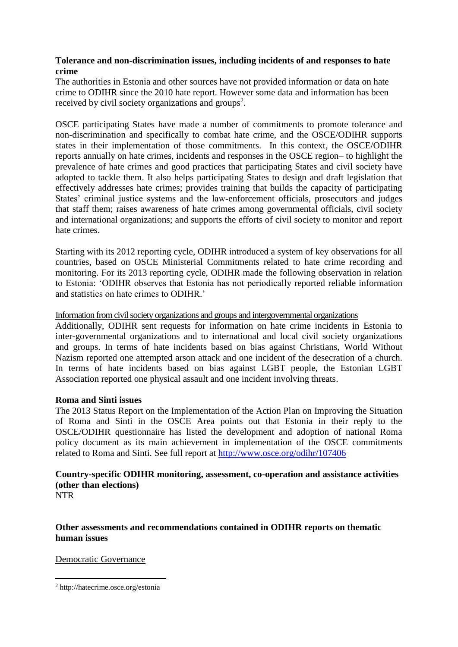## **Tolerance and non-discrimination issues, including incidents of and responses to hate crime**

The authorities in Estonia and other sources have not provided information or data on hate crime to ODIHR since the 2010 hate report. However some data and information has been received by civil society organizations and groups<sup>2</sup>.

OSCE participating States have made a number of commitments to promote tolerance and non-discrimination and specifically to combat hate crime, and the OSCE/ODIHR supports states in their implementation of those commitments. In this context, the OSCE/ODIHR reports annually on hate crimes, incidents and responses in the OSCE region– to highlight the prevalence of hate crimes and good practices that participating States and civil society have adopted to tackle them. It also helps participating States to design and draft legislation that effectively addresses hate crimes; provides training that builds the capacity of participating States' criminal justice systems and the law-enforcement officials, prosecutors and judges that staff them; raises awareness of hate crimes among governmental officials, civil society and international organizations; and supports the efforts of civil society to monitor and report hate crimes.

Starting with its 2012 reporting cycle, ODIHR introduced a system of key observations for all countries, based on OSCE Ministerial Commitments related to hate crime recording and monitoring. For its 2013 reporting cycle, ODIHR made the following observation in relation to Estonia: 'ODIHR observes that Estonia has not periodically reported reliable information and statistics on hate crimes to ODIHR.'

Information from civil society organizations and groups and intergovernmental organizations

Additionally, ODIHR sent requests for information on hate crime incidents in Estonia to inter-governmental organizations and to international and local civil society organizations and groups. In terms of hate incidents based on bias against Christians, World Without Nazism reported one attempted arson attack and one incident of the desecration of a church. In terms of hate incidents based on bias against LGBT people, the Estonian LGBT Association reported one physical assault and one incident involving threats.

# **Roma and Sinti issues**

The 2013 Status Report on the Implementation of the Action Plan on Improving the Situation of Roma and Sinti in the OSCE Area points out that Estonia in their reply to the OSCE/ODIHR questionnaire has listed the development and adoption of national Roma policy document as its main achievement in implementation of the OSCE commitments related to Roma and Sinti. See full report at<http://www.osce.org/odihr/107406>

**Country-specific ODIHR monitoring, assessment, co-operation and assistance activities (other than elections)** NTR

**Other assessments and recommendations contained in ODIHR reports on thematic human issues**

Democratic Governance

1

<sup>2</sup> http://hatecrime.osce.org/estonia